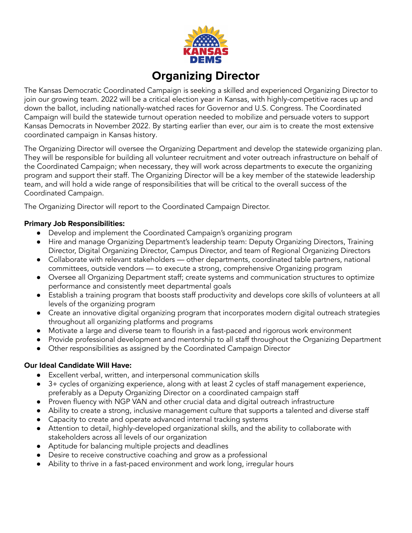

## **Organizing Director**

The Kansas Democratic Coordinated Campaign is seeking a skilled and experienced Organizing Director to join our growing team. 2022 will be a critical election year in Kansas, with highly-competitive races up and down the ballot, including nationally-watched races for Governor and U.S. Congress. The Coordinated Campaign will build the statewide turnout operation needed to mobilize and persuade voters to support Kansas Democrats in November 2022. By starting earlier than ever, our aim is to create the most extensive coordinated campaign in Kansas history.

The Organizing Director will oversee the Organizing Department and develop the statewide organizing plan. They will be responsible for building all volunteer recruitment and voter outreach infrastructure on behalf of the Coordinated Campaign; when necessary, they will work across departments to execute the organizing program and support their staff. The Organizing Director will be a key member of the statewide leadership team, and will hold a wide range of responsibilities that will be critical to the overall success of the Coordinated Campaign.

The Organizing Director will report to the Coordinated Campaign Director.

## **Primary Job Responsibilities:**

- Develop and implement the Coordinated Campaign's organizing program
- Hire and manage Organizing Department's leadership team: Deputy Organizing Directors, Training Director, Digital Organizing Director, Campus Director, and team of Regional Organizing Directors
- Collaborate with relevant stakeholders other departments, coordinated table partners, national committees, outside vendors — to execute a strong, comprehensive Organizing program
- Oversee all Organizing Department staff; create systems and communication structures to optimize performance and consistently meet departmental goals
- Establish a training program that boosts staff productivity and develops core skills of volunteers at all levels of the organizing program
- Create an innovative digital organizing program that incorporates modern digital outreach strategies throughout all organizing platforms and programs
- Motivate a large and diverse team to flourish in a fast-paced and rigorous work environment
- Provide professional development and mentorship to all staff throughout the Organizing Department
- Other responsibilities as assigned by the Coordinated Campaign Director

## **Our Ideal Candidate Will Have:**

- Excellent verbal, written, and interpersonal communication skills
- 3+ cycles of organizing experience, along with at least 2 cycles of staff management experience, preferably as a Deputy Organizing Director on a coordinated campaign staff
- Proven fluency with NGP VAN and other crucial data and digital outreach infrastructure
- Ability to create a strong, inclusive management culture that supports a talented and diverse staff
- Capacity to create and operate advanced internal tracking systems
- Attention to detail, highly-developed organizational skills, and the ability to collaborate with stakeholders across all levels of our organization
- Aptitude for balancing multiple projects and deadlines
- Desire to receive constructive coaching and grow as a professional
- Ability to thrive in a fast-paced environment and work long, irregular hours